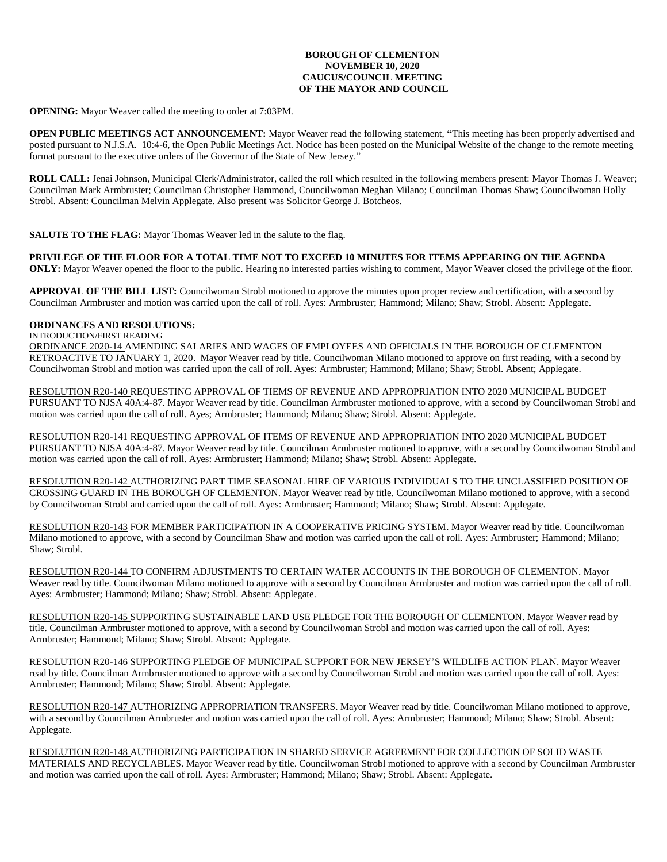## **BOROUGH OF CLEMENTON NOVEMBER 10, 2020 CAUCUS/COUNCIL MEETING OF THE MAYOR AND COUNCIL**

**OPENING:** Mayor Weaver called the meeting to order at 7:03PM.

**OPEN PUBLIC MEETINGS ACT ANNOUNCEMENT:** Mayor Weaver read the following statement, **"**This meeting has been properly advertised and posted pursuant to N.J.S.A. 10:4-6, the Open Public Meetings Act. Notice has been posted on the Municipal Website of the change to the remote meeting format pursuant to the executive orders of the Governor of the State of New Jersey."

**ROLL CALL:** Jenai Johnson, Municipal Clerk/Administrator, called the roll which resulted in the following members present: Mayor Thomas J. Weaver; Councilman Mark Armbruster; Councilman Christopher Hammond, Councilwoman Meghan Milano; Councilman Thomas Shaw; Councilwoman Holly Strobl. Absent: Councilman Melvin Applegate. Also present was Solicitor George J. Botcheos.

**SALUTE TO THE FLAG:** Mayor Thomas Weaver led in the salute to the flag.

### **PRIVILEGE OF THE FLOOR FOR A TOTAL TIME NOT TO EXCEED 10 MINUTES FOR ITEMS APPEARING ON THE AGENDA**

**ONLY:** Mayor Weaver opened the floor to the public. Hearing no interested parties wishing to comment, Mayor Weaver closed the privilege of the floor.

**APPROVAL OF THE BILL LIST:** Councilwoman Strobl motioned to approve the minutes upon proper review and certification, with a second by Councilman Armbruster and motion was carried upon the call of roll. Ayes: Armbruster; Hammond; Milano; Shaw; Strobl. Absent: Applegate.

# **ORDINANCES AND RESOLUTIONS:**

# INTRODUCTION/FIRST READING

ORDINANCE 2020-14 AMENDING SALARIES AND WAGES OF EMPLOYEES AND OFFICIALS IN THE BOROUGH OF CLEMENTON RETROACTIVE TO JANUARY 1, 2020. Mayor Weaver read by title. Councilwoman Milano motioned to approve on first reading, with a second by Councilwoman Strobl and motion was carried upon the call of roll. Ayes: Armbruster; Hammond; Milano; Shaw; Strobl. Absent; Applegate.

RESOLUTION R20-140 REQUESTING APPROVAL OF TIEMS OF REVENUE AND APPROPRIATION INTO 2020 MUNICIPAL BUDGET PURSUANT TO NJSA 40A:4-87. Mayor Weaver read by title. Councilman Armbruster motioned to approve, with a second by Councilwoman Strobl and motion was carried upon the call of roll. Ayes; Armbruster; Hammond; Milano; Shaw; Strobl. Absent: Applegate.

RESOLUTION R20-141 REQUESTING APPROVAL OF ITEMS OF REVENUE AND APPROPRIATION INTO 2020 MUNICIPAL BUDGET PURSUANT TO NJSA 40A:4-87. Mayor Weaver read by title. Councilman Armbruster motioned to approve, with a second by Councilwoman Strobl and motion was carried upon the call of roll. Ayes: Armbruster; Hammond; Milano; Shaw; Strobl. Absent: Applegate.

RESOLUTION R20-142 AUTHORIZING PART TIME SEASONAL HIRE OF VARIOUS INDIVIDUALS TO THE UNCLASSIFIED POSITION OF CROSSING GUARD IN THE BOROUGH OF CLEMENTON. Mayor Weaver read by title. Councilwoman Milano motioned to approve, with a second by Councilwoman Strobl and carried upon the call of roll. Ayes: Armbruster; Hammond; Milano; Shaw; Strobl. Absent: Applegate.

RESOLUTION R20-143 FOR MEMBER PARTICIPATION IN A COOPERATIVE PRICING SYSTEM. Mayor Weaver read by title. Councilwoman Milano motioned to approve, with a second by Councilman Shaw and motion was carried upon the call of roll. Ayes: Armbruster; Hammond; Milano; Shaw; Strobl.

RESOLUTION R20-144 TO CONFIRM ADJUSTMENTS TO CERTAIN WATER ACCOUNTS IN THE BOROUGH OF CLEMENTON. Mayor Weaver read by title. Councilwoman Milano motioned to approve with a second by Councilman Armbruster and motion was carried upon the call of roll. Ayes: Armbruster; Hammond; Milano; Shaw; Strobl. Absent: Applegate.

RESOLUTION R20-145 SUPPORTING SUSTAINABLE LAND USE PLEDGE FOR THE BOROUGH OF CLEMENTON. Mayor Weaver read by title. Councilman Armbruster motioned to approve, with a second by Councilwoman Strobl and motion was carried upon the call of roll. Ayes: Armbruster; Hammond; Milano; Shaw; Strobl. Absent: Applegate.

RESOLUTION R20-146 SUPPORTING PLEDGE OF MUNICIPAL SUPPORT FOR NEW JERSEY'S WILDLIFE ACTION PLAN. Mayor Weaver read by title. Councilman Armbruster motioned to approve with a second by Councilwoman Strobl and motion was carried upon the call of roll. Ayes: Armbruster; Hammond; Milano; Shaw; Strobl. Absent: Applegate.

RESOLUTION R20-147 AUTHORIZING APPROPRIATION TRANSFERS. Mayor Weaver read by title. Councilwoman Milano motioned to approve, with a second by Councilman Armbruster and motion was carried upon the call of roll. Ayes: Armbruster; Hammond; Milano; Shaw; Strobl. Absent: Applegate.

RESOLUTION R20-148 AUTHORIZING PARTICIPATION IN SHARED SERVICE AGREEMENT FOR COLLECTION OF SOLID WASTE MATERIALS AND RECYCLABLES. Mayor Weaver read by title. Councilwoman Strobl motioned to approve with a second by Councilman Armbruster and motion was carried upon the call of roll. Ayes: Armbruster; Hammond; Milano; Shaw; Strobl. Absent: Applegate.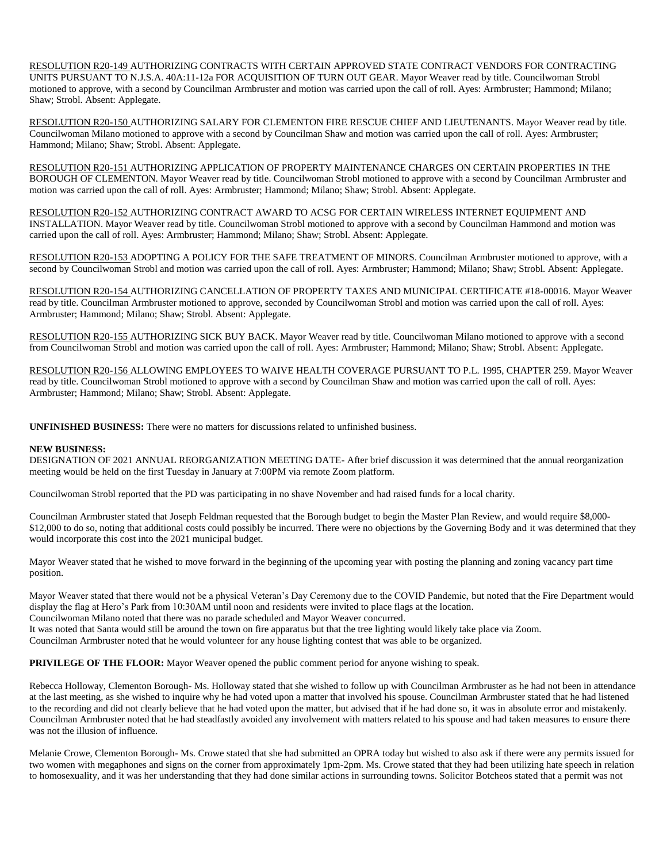RESOLUTION R20-149 AUTHORIZING CONTRACTS WITH CERTAIN APPROVED STATE CONTRACT VENDORS FOR CONTRACTING UNITS PURSUANT TO N.J.S.A. 40A:11-12a FOR ACQUISITION OF TURN OUT GEAR. Mayor Weaver read by title. Councilwoman Strobl motioned to approve, with a second by Councilman Armbruster and motion was carried upon the call of roll. Ayes: Armbruster; Hammond; Milano; Shaw; Strobl. Absent: Applegate.

RESOLUTION R20-150 AUTHORIZING SALARY FOR CLEMENTON FIRE RESCUE CHIEF AND LIEUTENANTS. Mayor Weaver read by title. Councilwoman Milano motioned to approve with a second by Councilman Shaw and motion was carried upon the call of roll. Ayes: Armbruster; Hammond; Milano; Shaw; Strobl. Absent: Applegate.

RESOLUTION R20-151 AUTHORIZING APPLICATION OF PROPERTY MAINTENANCE CHARGES ON CERTAIN PROPERTIES IN THE BOROUGH OF CLEMENTON. Mayor Weaver read by title. Councilwoman Strobl motioned to approve with a second by Councilman Armbruster and motion was carried upon the call of roll. Ayes: Armbruster; Hammond; Milano; Shaw; Strobl. Absent: Applegate.

RESOLUTION R20-152 AUTHORIZING CONTRACT AWARD TO ACSG FOR CERTAIN WIRELESS INTERNET EQUIPMENT AND INSTALLATION. Mayor Weaver read by title. Councilwoman Strobl motioned to approve with a second by Councilman Hammond and motion was carried upon the call of roll. Ayes: Armbruster; Hammond; Milano; Shaw; Strobl. Absent: Applegate.

RESOLUTION R20-153 ADOPTING A POLICY FOR THE SAFE TREATMENT OF MINORS. Councilman Armbruster motioned to approve, with a second by Councilwoman Strobl and motion was carried upon the call of roll. Ayes: Armbruster; Hammond; Milano; Shaw; Strobl. Absent: Applegate.

RESOLUTION R20-154 AUTHORIZING CANCELLATION OF PROPERTY TAXES AND MUNICIPAL CERTIFICATE #18-00016. Mayor Weaver read by title. Councilman Armbruster motioned to approve, seconded by Councilwoman Strobl and motion was carried upon the call of roll. Ayes: Armbruster; Hammond; Milano; Shaw; Strobl. Absent: Applegate.

RESOLUTION R20-155 AUTHORIZING SICK BUY BACK. Mayor Weaver read by title. Councilwoman Milano motioned to approve with a second from Councilwoman Strobl and motion was carried upon the call of roll. Ayes: Armbruster; Hammond; Milano; Shaw; Strobl. Absent: Applegate.

RESOLUTION R20-156 ALLOWING EMPLOYEES TO WAIVE HEALTH COVERAGE PURSUANT TO P.L. 1995, CHAPTER 259. Mayor Weaver read by title. Councilwoman Strobl motioned to approve with a second by Councilman Shaw and motion was carried upon the call of roll. Ayes: Armbruster; Hammond; Milano; Shaw; Strobl. Absent: Applegate.

**UNFINISHED BUSINESS:** There were no matters for discussions related to unfinished business.

#### **NEW BUSINESS:**

DESIGNATION OF 2021 ANNUAL REORGANIZATION MEETING DATE- After brief discussion it was determined that the annual reorganization meeting would be held on the first Tuesday in January at 7:00PM via remote Zoom platform.

Councilwoman Strobl reported that the PD was participating in no shave November and had raised funds for a local charity.

Councilman Armbruster stated that Joseph Feldman requested that the Borough budget to begin the Master Plan Review, and would require \$8,000- \$12,000 to do so, noting that additional costs could possibly be incurred. There were no objections by the Governing Body and it was determined that they would incorporate this cost into the 2021 municipal budget.

Mayor Weaver stated that he wished to move forward in the beginning of the upcoming year with posting the planning and zoning vacancy part time position.

Mayor Weaver stated that there would not be a physical Veteran's Day Ceremony due to the COVID Pandemic, but noted that the Fire Department would display the flag at Hero's Park from 10:30AM until noon and residents were invited to place flags at the location. Councilwoman Milano noted that there was no parade scheduled and Mayor Weaver concurred.

It was noted that Santa would still be around the town on fire apparatus but that the tree lighting would likely take place via Zoom.

Councilman Armbruster noted that he would volunteer for any house lighting contest that was able to be organized.

**PRIVILEGE OF THE FLOOR:** Mayor Weaver opened the public comment period for anyone wishing to speak.

Rebecca Holloway, Clementon Borough- Ms. Holloway stated that she wished to follow up with Councilman Armbruster as he had not been in attendance at the last meeting, as she wished to inquire why he had voted upon a matter that involved his spouse. Councilman Armbruster stated that he had listened to the recording and did not clearly believe that he had voted upon the matter, but advised that if he had done so, it was in absolute error and mistakenly. Councilman Armbruster noted that he had steadfastly avoided any involvement with matters related to his spouse and had taken measures to ensure there was not the illusion of influence.

Melanie Crowe, Clementon Borough- Ms. Crowe stated that she had submitted an OPRA today but wished to also ask if there were any permits issued for two women with megaphones and signs on the corner from approximately 1pm-2pm. Ms. Crowe stated that they had been utilizing hate speech in relation to homosexuality, and it was her understanding that they had done similar actions in surrounding towns. Solicitor Botcheos stated that a permit was not